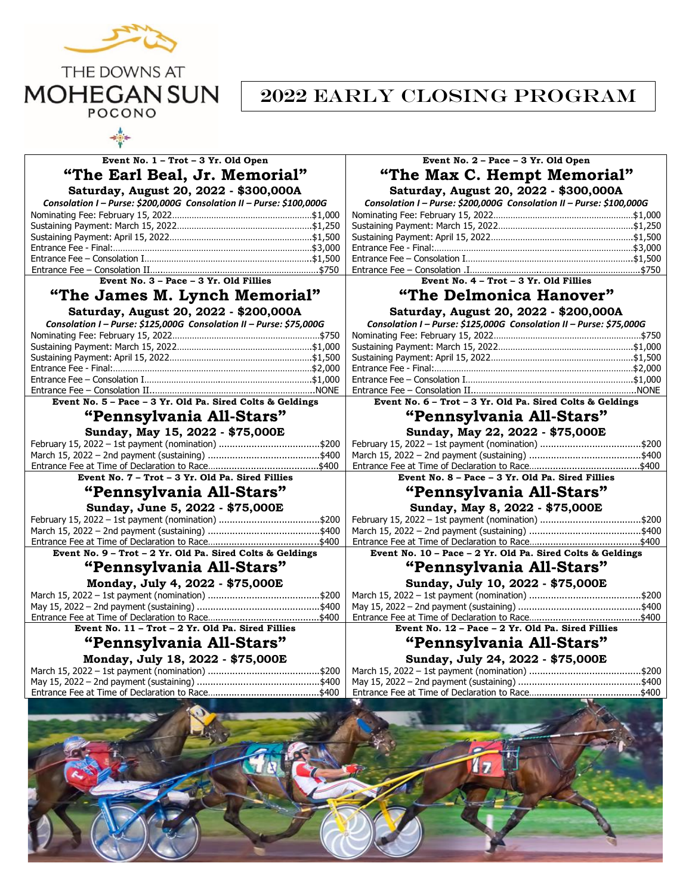

## 2022 Early Closing Program

| Event No. 1 - Trot - 3 Yr. Old Open                                  | Event No. 2 - Pace - 3 Yr. Old Open                                  |  |  |
|----------------------------------------------------------------------|----------------------------------------------------------------------|--|--|
| "The Earl Beal, Jr. Memorial"                                        | "The Max C. Hempt Memorial"                                          |  |  |
| Saturday, August 20, 2022 - \$300,000A                               | Saturday, August 20, 2022 - \$300,000A                               |  |  |
| Consolation I - Purse: \$200,000G Consolation II - Purse: \$100,000G | Consolation I - Purse: \$200,000G Consolation II - Purse: \$100,000G |  |  |
|                                                                      |                                                                      |  |  |
|                                                                      |                                                                      |  |  |
|                                                                      |                                                                      |  |  |
|                                                                      |                                                                      |  |  |
|                                                                      |                                                                      |  |  |
|                                                                      |                                                                      |  |  |
| Event No. $3 - \text{Face} - 3 \text{ Yr}$ . Old Fillies             | Event No. $4 - \text{Trot} - 3 \text{ Yr}$ . Old Fillies             |  |  |
| "The James M. Lynch Memorial"                                        | "The Delmonica Hanover"                                              |  |  |
| Saturday, August 20, 2022 - \$200,000A                               | Saturday, August 20, 2022 - \$200,000A                               |  |  |
| Consolation I - Purse: \$125,000G Consolation II - Purse: \$75,000G  | Consolation I - Purse: \$125,000G Consolation II - Purse: \$75,000G  |  |  |
|                                                                      |                                                                      |  |  |
|                                                                      |                                                                      |  |  |
|                                                                      |                                                                      |  |  |
|                                                                      |                                                                      |  |  |
|                                                                      |                                                                      |  |  |
|                                                                      |                                                                      |  |  |
| Event No. 5 - Pace - 3 Yr. Old Pa. Sired Colts & Geldings            | Event No. 6 - Trot - 3 Yr. Old Pa. Sired Colts & Geldings            |  |  |
| "Pennsylvania All-Stars"                                             | "Pennsylvania All-Stars"                                             |  |  |
| Sunday, May 15, 2022 - \$75,000E                                     | Sunday, May 22, 2022 - \$75,000E                                     |  |  |
|                                                                      |                                                                      |  |  |
|                                                                      |                                                                      |  |  |
|                                                                      |                                                                      |  |  |
|                                                                      |                                                                      |  |  |
| Event No. 7 - Trot - 3 Yr. Old Pa. Sired Fillies                     | Event No. 8 - Pace - 3 Yr. Old Pa. Sired Fillies                     |  |  |
| "Pennsylvania All-Stars"                                             | "Pennsylvania All-Stars"                                             |  |  |
| Sunday, June 5, 2022 - \$75,000E                                     | Sunday, May 8, 2022 - \$75,000E                                      |  |  |
| February 15, 2022 – 1st payment (nomination) \$200                   | February 15, 2022 - 1st payment (nomination) \$200                   |  |  |
|                                                                      |                                                                      |  |  |
|                                                                      |                                                                      |  |  |
| Event No. 9 - Trot - 2 Yr. Old Pa. Sired Colts & Geldings            | Event No. 10 - Pace - 2 Yr. Old Pa. Sired Colts & Geldings           |  |  |
| "Pennsylvania All-Stars"                                             | "Pennsylvania All-Stars"                                             |  |  |
| Monday, July 4, 2022 - \$75,000E                                     | Sunday, July 10, 2022 - \$75,000E                                    |  |  |
|                                                                      |                                                                      |  |  |
|                                                                      |                                                                      |  |  |
| Event No. 11 - Trot - 2 Yr. Old Pa. Sired Fillies                    | Event No. 12 - Pace - 2 Yr. Old Pa. Sired Fillies                    |  |  |
|                                                                      |                                                                      |  |  |
| "Pennsylvania All-Stars"<br>Monday, July 18, 2022 - \$75,000E        | "Pennsylvania All-Stars"<br>Sunday, July 24, 2022 - \$75,000E        |  |  |
|                                                                      |                                                                      |  |  |
|                                                                      |                                                                      |  |  |
|                                                                      |                                                                      |  |  |
|                                                                      |                                                                      |  |  |
|                                                                      |                                                                      |  |  |
|                                                                      |                                                                      |  |  |
|                                                                      |                                                                      |  |  |